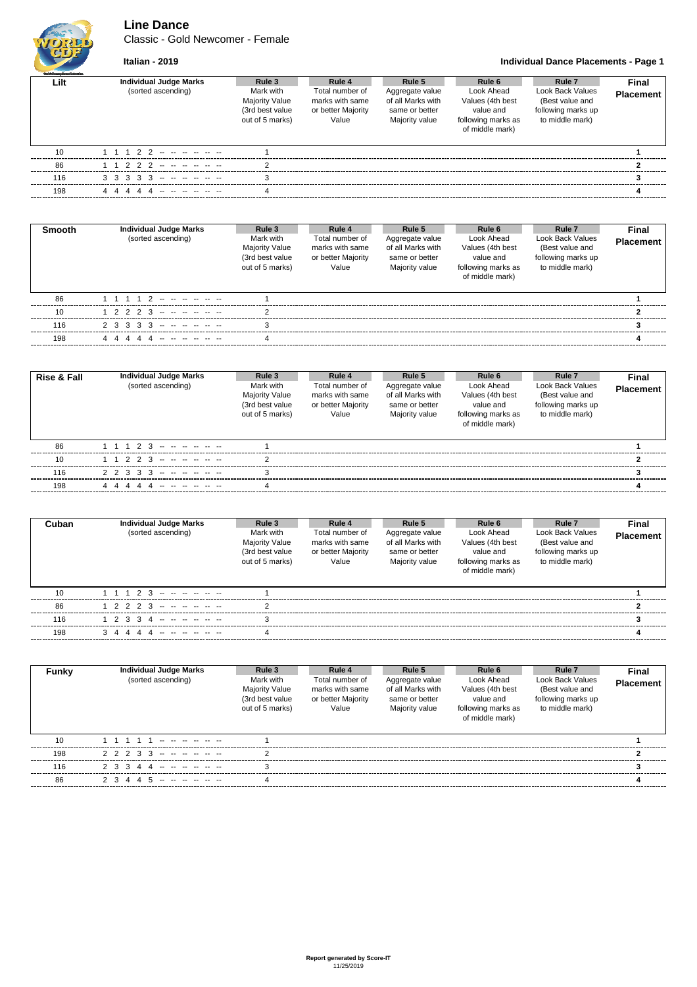**Line Dance**

Classic - Gold Newcomer - Female



**Italian - 2019 Individual Dance Placements - Page 1**

| <b>Staff Grades Daniel School on</b> |                                   |                                                                          |                                                                   |                                                                          |                                                                                      |                                                                              |                  |
|--------------------------------------|-----------------------------------|--------------------------------------------------------------------------|-------------------------------------------------------------------|--------------------------------------------------------------------------|--------------------------------------------------------------------------------------|------------------------------------------------------------------------------|------------------|
| Lilt                                 | <b>Individual Judge Marks</b>     | Rule 3                                                                   | Rule 4                                                            | Rule 5                                                                   | Rule 6                                                                               | Rule 7                                                                       | Final            |
|                                      | (sorted ascending)                | Mark with<br><b>Majority Value</b><br>(3rd best value<br>out of 5 marks) | Total number of<br>marks with same<br>or better Majority<br>Value | Aggregate value<br>of all Marks with<br>same or better<br>Majority value | Look Ahead<br>Values (4th best<br>value and<br>following marks as<br>of middle mark) | Look Back Values<br>(Best value and<br>following marks up<br>to middle mark) | <b>Placement</b> |
| 10                                   | 1 1 1 2 2 -- -- -- -- --          |                                                                          |                                                                   |                                                                          |                                                                                      |                                                                              |                  |
| 86                                   | 1 1 2 2 2 -- -- -- -- --          |                                                                          |                                                                   |                                                                          |                                                                                      |                                                                              |                  |
| 116                                  | $3$ $3$ $3$ $3$ $3$ $3$ $      -$ |                                                                          |                                                                   |                                                                          |                                                                                      |                                                                              |                  |
| 198                                  | 4 4<br>444                        |                                                                          |                                                                   |                                                                          |                                                                                      |                                                                              |                  |

| <b>Smooth</b> | Individual Judge Marks<br>(sorted ascending) | Rule 3<br>Mark with<br><b>Majority Value</b><br>(3rd best value<br>out of 5 marks) | Rule 4<br>Total number of<br>marks with same<br>or better Majority<br>Value | Rule 5<br>Aggregate value<br>of all Marks with<br>same or better<br>Majority value | Rule 6<br>Look Ahead<br>Values (4th best<br>value and<br>following marks as<br>of middle mark) | Rule <sub>7</sub><br>Look Back Values<br>(Best value and<br>following marks up<br>to middle mark) | Final<br><b>Placement</b> |
|---------------|----------------------------------------------|------------------------------------------------------------------------------------|-----------------------------------------------------------------------------|------------------------------------------------------------------------------------|------------------------------------------------------------------------------------------------|---------------------------------------------------------------------------------------------------|---------------------------|
| 86            | 1 1 1 1 2 -- -- -- -- --                     |                                                                                    |                                                                             |                                                                                    |                                                                                                |                                                                                                   |                           |
| 10            | $1 2 2 2 3 - - - - - - -$                    |                                                                                    |                                                                             |                                                                                    |                                                                                                |                                                                                                   |                           |
| 116           | $2$ 3 3 3 3 - - - - - - -                    |                                                                                    |                                                                             |                                                                                    |                                                                                                |                                                                                                   |                           |
| 198           | 44444 -------                                |                                                                                    |                                                                             |                                                                                    |                                                                                                |                                                                                                   |                           |

| <b>Rise &amp; Fall</b> | <b>Individual Judge Marks</b><br>(sorted ascending) | Rule 3<br>Mark with<br>Majority Value<br>(3rd best value<br>out of 5 marks) | Rule 4<br>Total number of<br>marks with same<br>or better Majority<br>Value | Rule 5<br>Aggregate value<br>of all Marks with<br>same or better<br>Majority value | Rule 6<br>Look Ahead<br>Values (4th best<br>value and<br>following marks as<br>of middle mark) | Rule <sub>7</sub><br>Look Back Values<br>(Best value and<br>following marks up<br>to middle mark) | <b>Final</b><br>Placement |
|------------------------|-----------------------------------------------------|-----------------------------------------------------------------------------|-----------------------------------------------------------------------------|------------------------------------------------------------------------------------|------------------------------------------------------------------------------------------------|---------------------------------------------------------------------------------------------------|---------------------------|
| 86                     | $1 1 1 2 3 - - - - - - - -$                         |                                                                             |                                                                             |                                                                                    |                                                                                                |                                                                                                   |                           |
| 10                     | 1 1 2 2 3 -- -- -- -- --                            |                                                                             |                                                                             |                                                                                    |                                                                                                |                                                                                                   |                           |
| 116                    | $2$ 2 3 3 3 -- -- -- -- -- --                       |                                                                             |                                                                             |                                                                                    |                                                                                                |                                                                                                   |                           |
| 198                    | 44444 ------                                        |                                                                             |                                                                             |                                                                                    |                                                                                                |                                                                                                   |                           |

| Cuban | <b>Individual Judge Marks</b><br>(sorted ascending) | Rule 3<br>Mark with<br><b>Majority Value</b><br>(3rd best value<br>out of 5 marks) | Rule 4<br>Total number of<br>marks with same<br>or better Majority<br>Value | Rule 5<br>Aggregate value<br>of all Marks with<br>same or better<br>Majority value | Rule 6<br>Look Ahead<br>Values (4th best<br>value and<br>following marks as<br>of middle mark) | Rule <sub>7</sub><br>Look Back Values<br>(Best value and<br>following marks up<br>to middle mark) | <b>Final</b><br><b>Placement</b> |
|-------|-----------------------------------------------------|------------------------------------------------------------------------------------|-----------------------------------------------------------------------------|------------------------------------------------------------------------------------|------------------------------------------------------------------------------------------------|---------------------------------------------------------------------------------------------------|----------------------------------|
| 10    | 1 1 1 2 3 -- -- -- -- --                            |                                                                                    |                                                                             |                                                                                    |                                                                                                |                                                                                                   |                                  |
| 86    | 1 2 2 2 3 -- -- -- -- --                            |                                                                                    |                                                                             |                                                                                    |                                                                                                |                                                                                                   |                                  |
| 116   | 1 2 3 3 4 -- -- -- -- --                            | ঽ                                                                                  |                                                                             |                                                                                    |                                                                                                |                                                                                                   |                                  |
| 198   | 3 4 4 4 4 ----------                                |                                                                                    |                                                                             |                                                                                    |                                                                                                |                                                                                                   |                                  |

| Funky | <b>Individual Judge Marks</b><br>(sorted ascending) | Rule 3<br>Mark with<br>Majority Value<br>(3rd best value<br>out of 5 marks) | Rule 4<br>Total number of<br>marks with same<br>or better Majority<br>Value | Rule 5<br>Aggregate value<br>of all Marks with<br>same or better<br>Majority value | Rule 6<br>Look Ahead<br>Values (4th best<br>value and<br>following marks as<br>of middle mark) | Rule <sub>7</sub><br>Look Back Values<br>(Best value and<br>following marks up<br>to middle mark) | <b>Final</b><br><b>Placement</b> |
|-------|-----------------------------------------------------|-----------------------------------------------------------------------------|-----------------------------------------------------------------------------|------------------------------------------------------------------------------------|------------------------------------------------------------------------------------------------|---------------------------------------------------------------------------------------------------|----------------------------------|
| 10    |                                                     |                                                                             |                                                                             |                                                                                    |                                                                                                |                                                                                                   |                                  |
| 198   | 2 2 2 3 3 -- -- -- -- --                            |                                                                             |                                                                             |                                                                                    |                                                                                                |                                                                                                   |                                  |
| 116   | 2 3 3 4 4 -- -- -- -- --                            | ঽ                                                                           |                                                                             |                                                                                    |                                                                                                |                                                                                                   |                                  |
| 86    | 2 3 4 4 5                                           |                                                                             |                                                                             |                                                                                    |                                                                                                |                                                                                                   |                                  |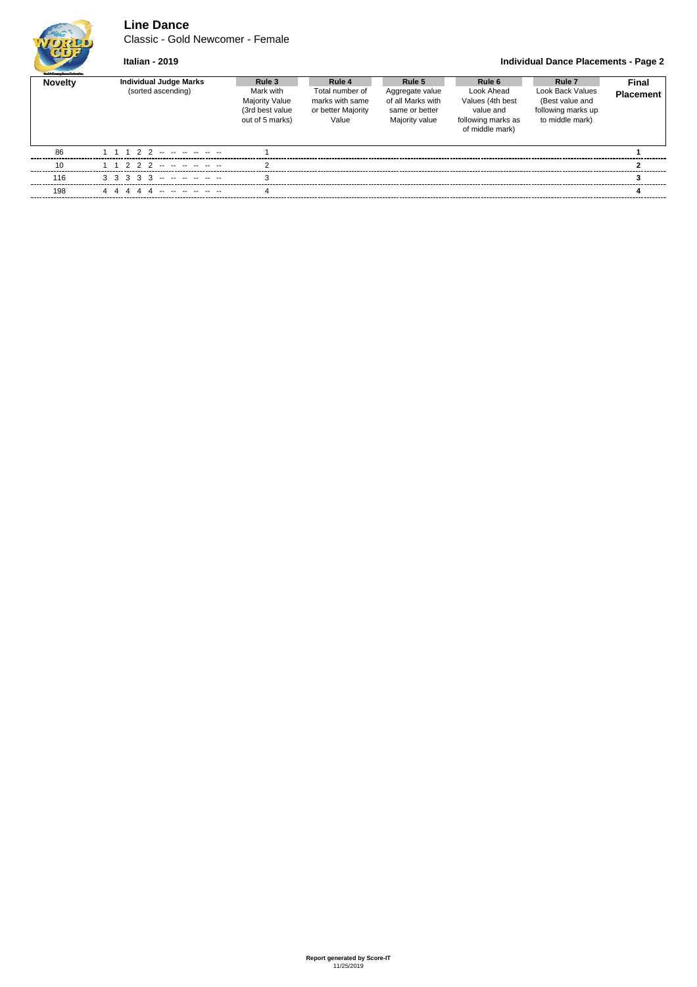# **Line Dance**

Classic - Gold Newcomer - Female

## **Italian - 2019 Individual Dance Placements - Page 2**

| <b>Outli Grades Departuluation</b> |                                                     |                                                                                    |                                                                             |                                                                                    |                                                                                                |                                                                                                   |                           |  |
|------------------------------------|-----------------------------------------------------|------------------------------------------------------------------------------------|-----------------------------------------------------------------------------|------------------------------------------------------------------------------------|------------------------------------------------------------------------------------------------|---------------------------------------------------------------------------------------------------|---------------------------|--|
| <b>Novelty</b>                     | <b>Individual Judge Marks</b><br>(sorted ascending) | Rule 3<br>Mark with<br><b>Majority Value</b><br>(3rd best value<br>out of 5 marks) | Rule 4<br>Total number of<br>marks with same<br>or better Majority<br>Value | Rule 5<br>Aggregate value<br>of all Marks with<br>same or better<br>Majority value | Rule 6<br>Look Ahead<br>Values (4th best<br>value and<br>following marks as<br>of middle mark) | Rule <sub>7</sub><br>Look Back Values<br>(Best value and<br>following marks up<br>to middle mark) | Final<br><b>Placement</b> |  |
| 86                                 | 1 1 1 2 2 -- -- -- -- --                            |                                                                                    |                                                                             |                                                                                    |                                                                                                |                                                                                                   |                           |  |
| 10                                 | 222 <del>.</del> - - - - - -                        | ົ                                                                                  |                                                                             |                                                                                    |                                                                                                |                                                                                                   |                           |  |
| 116                                |                                                     |                                                                                    |                                                                             |                                                                                    |                                                                                                |                                                                                                   |                           |  |
| 198                                | 44444 -------                                       |                                                                                    |                                                                             |                                                                                    |                                                                                                |                                                                                                   |                           |  |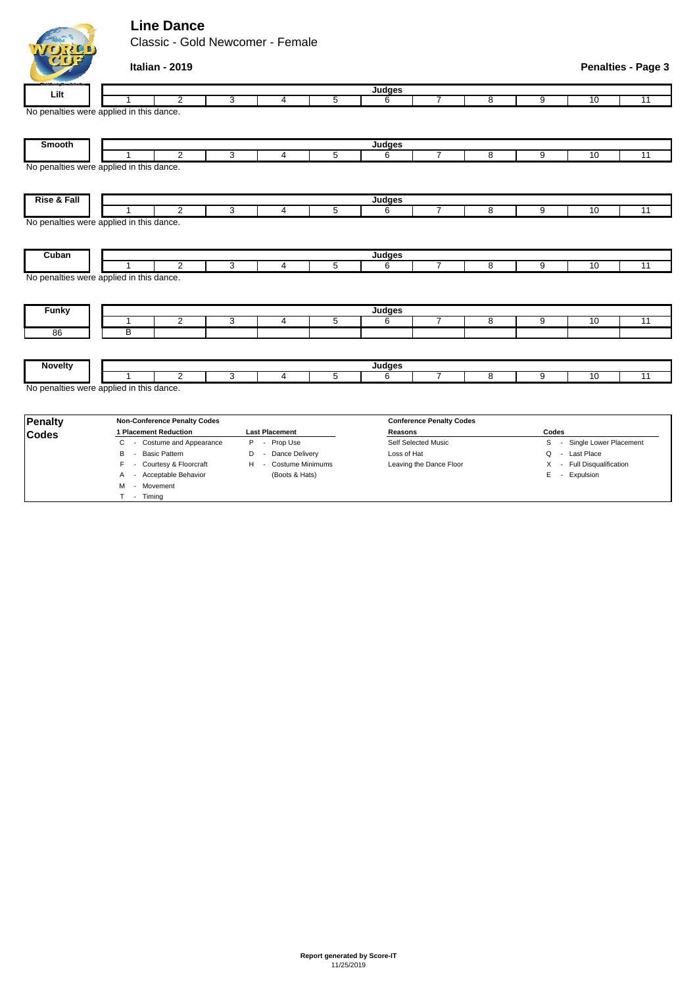# **Line Dance**

ICIDER

M - Movement T - Timing

Classic - Gold Newcomer - Female

| (1) 달                  | Italian - 2019                           |                              |                |                |                                 |                |                |                         | <b>Penalties - Page 3</b> |
|------------------------|------------------------------------------|------------------------------|----------------|----------------|---------------------------------|----------------|----------------|-------------------------|---------------------------|
|                        |                                          |                              |                | Judges         |                                 |                |                |                         |                           |
| Lilt                   | $\overline{2}$                           | 3<br>4                       | 5              | 6              | 7                               | 8              | 9              | 10                      | 11                        |
|                        | No penalties were applied in this dance. |                              |                |                |                                 |                |                |                         |                           |
| Smooth                 |                                          |                              |                | Judges         |                                 |                |                |                         |                           |
|                        | 2<br>$\mathbf{1}$                        | 3<br>4                       | 5              | 6              | $\overline{7}$                  | 8              | 9              | 10                      | 11                        |
|                        | No penalties were applied in this dance. |                              |                |                |                                 |                |                |                         |                           |
| <b>Rise &amp; Fall</b> |                                          |                              |                | Judges         |                                 |                |                |                         |                           |
|                        | $\overline{2}$<br>1                      | 3<br>4                       | 5              | 6              | $\overline{7}$                  | 8              | 9              | 10                      | 11                        |
|                        | No penalties were applied in this dance. |                              |                |                |                                 |                |                |                         |                           |
| Cuban                  |                                          |                              |                | Judges         |                                 |                |                |                         |                           |
|                        | 2<br>1                                   | 3<br>$\overline{4}$          | 5              | 6              | $\overline{7}$                  | 8              | 9              | 10                      | 11                        |
| <b>Funky</b>           | No penalties were applied in this dance. |                              |                | Judges         |                                 |                |                |                         |                           |
|                        | $\overline{2}$<br>1                      | 3<br>$\overline{4}$          | $\overline{5}$ | 6              | $\overline{7}$                  | $\overline{8}$ | $\overline{9}$ | 10                      | 11                        |
| 86                     | B                                        |                              |                |                |                                 |                |                |                         |                           |
|                        |                                          |                              |                |                |                                 |                |                |                         |                           |
| <b>Novelty</b>         |                                          |                              |                | <b>Judges</b>  |                                 |                |                |                         |                           |
|                        | $\overline{2}$<br>1                      | 3<br>$\overline{4}$          | $\overline{5}$ | 6              | $\overline{7}$                  | $\overline{8}$ | $\overline{9}$ | 10                      | $\overline{11}$           |
|                        | No penalties were applied in this dance. |                              |                |                |                                 |                |                |                         |                           |
| Penalty                | <b>Non-Conference Penalty Codes</b>      |                              |                |                | <b>Conference Penalty Codes</b> |                |                |                         |                           |
| <b>Codes</b>           | 1 Placement Reduction                    | <b>Last Placement</b>        |                | <b>Reasons</b> |                                 |                | Codes          |                         |                           |
|                        | - Costume and Appearance<br>C            | Prop Use<br>P<br>$\sim$      |                |                | Self Selected Music             |                | S<br>$\sim$    | Single Lower Placement  |                           |
|                        | <b>Basic Pattern</b><br>B<br>$\sim$      | Dance Delivery<br>D          |                | Loss of Hat    |                                 |                | Q              | - Last Place            |                           |
|                        | - Courtesy & Floorcraft                  | <b>Costume Minimums</b><br>н |                |                | Leaving the Dance Floor         |                | Χ              | - Full Disqualification |                           |
|                        | A - Acceptable Behavior                  | (Boots & Hats)               |                |                |                                 |                |                | E - Expulsion           |                           |